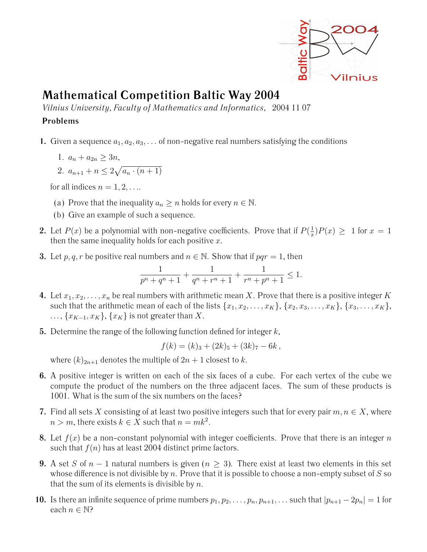

## **Mathematical Competition Baltic Way 2004**

*Vilnius University, Faculty of Mathematics and Informatics,* 2004 11 07

## **Problems**

- **1.** Given a sequence  $a_1, a_2, a_3, \ldots$  of non-negative real numbers satisfying the conditions
	- 1.  $a_n + a_{2n} \geq 3n$ ,

2. 
$$
a_{n+1} + n \leq 2\sqrt{a_n \cdot (n+1)}
$$

for all indices  $n = 1, 2, \ldots$ 

- (a) Prove that the inequality  $a_n \geq n$  holds for every  $n \in \mathbb{N}$ .
- (b) Give an example of such a sequence.
- **2.** Let  $P(x)$  be a polynomial with non-negative coefficients. Prove that if  $P(\frac{1}{x})$  $\frac{1}{x}$ ) $P(x) \ge 1$  for  $x = 1$ then the same inequality holds for each positive  $x$ .
- **3.** Let p, q, r be positive real numbers and  $n \in \mathbb{N}$ . Show that if  $pqr = 1$ , then

$$
\frac{1}{p^n+q^n+1}+\frac{1}{q^n+r^n+1}+\frac{1}{r^n+p^n+1}\leq 1.
$$

- **4.** Let  $x_1, x_2, \ldots, x_n$  be real numbers with arithmetic mean X. Prove that there is a positive integer K such that the arithmetic mean of each of the lists  $\{x_1, x_2, \ldots, x_K\}$ ,  $\{x_2, x_3, \ldots, x_K\}$ ,  $\{x_3, \ldots, x_K\}$ ,  $\ldots, \{x_{K-1}, x_K\}, \{x_K\}$  is not greater than X.
- **5.** Determine the range of the following function defined for integer k,

$$
f(k) = (k)_3 + (2k)_5 + (3k)_7 - 6k,
$$

where  $(k)_{2n+1}$  denotes the multiple of  $2n+1$  closest to k.

- **6.** A positive integer is written on each of the six faces of a cube. For each vertex of the cube we compute the product of the numbers on the three adjacent faces. The sum of these products is 1001. What is the sum of the six numbers on the faces?
- **7.** Find all sets X consisting of at least two positive integers such that for every pair  $m, n \in X$ , where  $n > m$ , there exists  $k \in X$  such that  $n = mk^2$ .
- **8.** Let  $f(x)$  be a non-constant polynomial with integer coefficients. Prove that there is an integer n such that  $f(n)$  has at least 2004 distinct prime factors.
- **9.** A set S of  $n-1$  natural numbers is given  $(n > 3)$ . There exist at least two elements in this set whose difference is not divisible by n. Prove that it is possible to choose a non-empty subset of  $S$  so that the sum of its elements is divisible by  $n$ .
- **10.** Is there an infinite sequence of prime numbers  $p_1, p_2, \ldots, p_n, p_{n+1}, \ldots$  such that  $|p_{n+1} 2p_n| = 1$  for each  $n \in \mathbb{N}$ ?